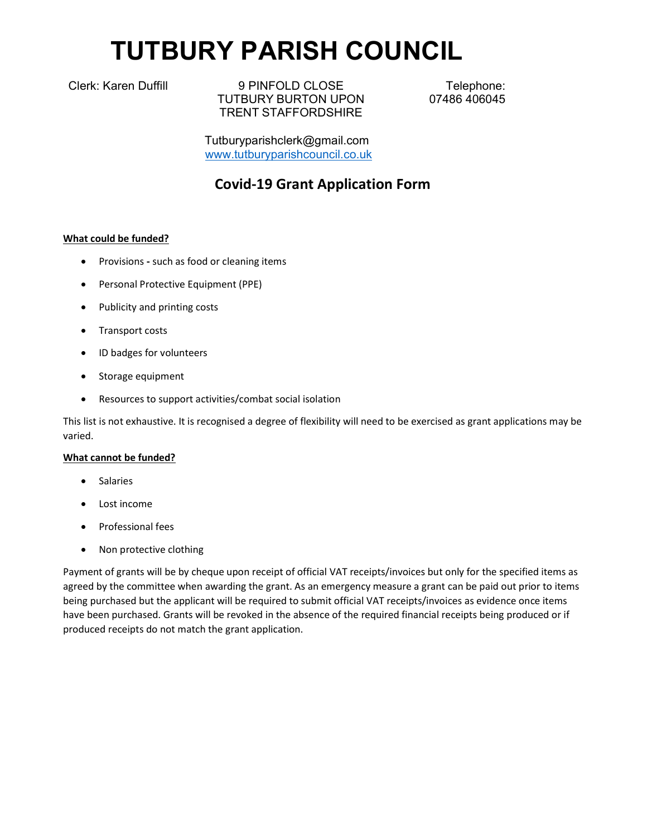# TUTBURY PARISH COUNCIL

Clerk: Karen Duffill 9 PINFOLD CLOSE TUTBURY BURTON UPON TRENT STAFFORDSHIRE

Telephone: 07486 406045

Tutburyparishclerk@gmail.com www.tutburyparishcouncil.co.uk

# Covid-19 Grant Application Form

# What could be funded?

- Provisions such as food or cleaning items
- Personal Protective Equipment (PPE)
- Publicity and printing costs
- Transport costs
- ID badges for volunteers
- Storage equipment
- Resources to support activities/combat social isolation

This list is not exhaustive. It is recognised a degree of flexibility will need to be exercised as grant applications may be varied.

# What cannot be funded?

- Salaries
- Lost income
- Professional fees
- Non protective clothing

Payment of grants will be by cheque upon receipt of official VAT receipts/invoices but only for the specified items as agreed by the committee when awarding the grant. As an emergency measure a grant can be paid out prior to items being purchased but the applicant will be required to submit official VAT receipts/invoices as evidence once items have been purchased. Grants will be revoked in the absence of the required financial receipts being produced or if produced receipts do not match the grant application.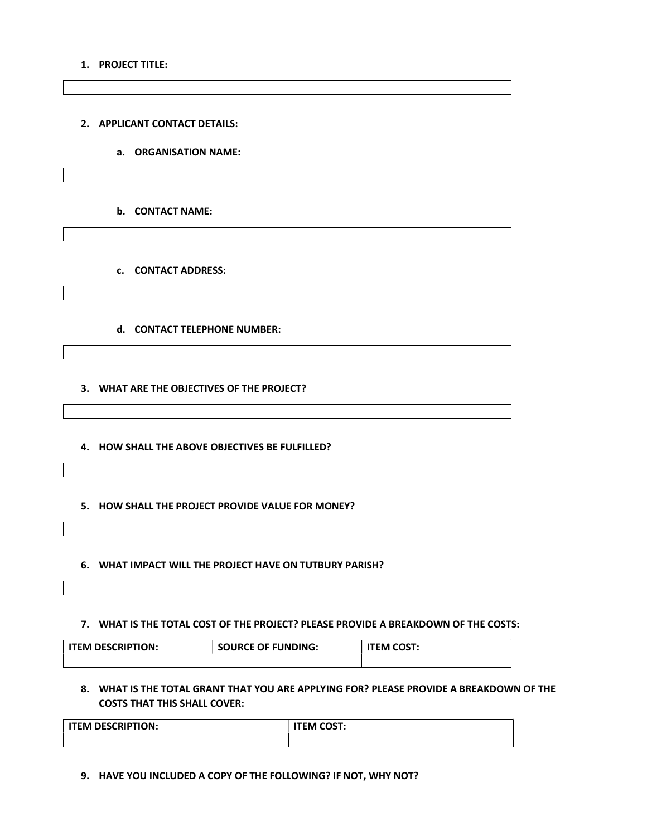#### 1. PROJECT TITLE:

2. APPLICANT CONTACT DETAILS:

a. ORGANISATION NAME:

b. CONTACT NAME:

c. CONTACT ADDRESS:

d. CONTACT TELEPHONE NUMBER:

3. WHAT ARE THE OBJECTIVES OF THE PROJECT?

4. HOW SHALL THE ABOVE OBJECTIVES BE FULFILLED?

5. HOW SHALL THE PROJECT PROVIDE VALUE FOR MONEY?

6. WHAT IMPACT WILL THE PROJECT HAVE ON TUTBURY PARISH?

7. WHAT IS THE TOTAL COST OF THE PROJECT? PLEASE PROVIDE A BREAKDOWN OF THE COSTS:

ITEM DESCRIPTION: SOURCE OF FUNDING: | ITEM COST:

8. WHAT IS THE TOTAL GRANT THAT YOU ARE APPLYING FOR? PLEASE PROVIDE A BREAKDOWN OF THE COSTS THAT THIS SHALL COVER:

| <b>ITEM DESCRIPTION:</b> | <b>ITEM COST:</b> |
|--------------------------|-------------------|
|                          |                   |

9. HAVE YOU INCLUDED A COPY OF THE FOLLOWING? IF NOT, WHY NOT?